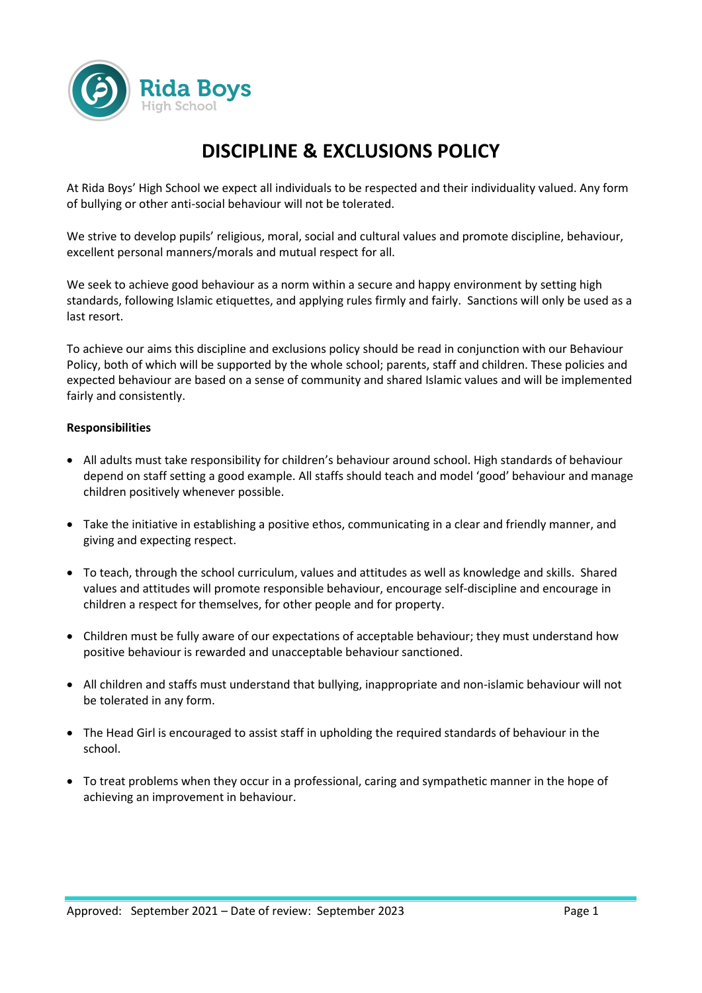

# **DISCIPLINE & EXCLUSIONS POLICY**

At Rida Boys' High School we expect all individuals to be respected and their individuality valued. Any form of bullying or other anti-social behaviour will not be tolerated.

We strive to develop pupils' religious, moral, social and cultural values and promote discipline, behaviour, excellent personal manners/morals and mutual respect for all.

We seek to achieve good behaviour as a norm within a secure and happy environment by setting high standards, following Islamic etiquettes, and applying rules firmly and fairly. Sanctions will only be used as a last resort.

To achieve our aims this discipline and exclusions policy should be read in conjunction with our Behaviour Policy, both of which will be supported by the whole school; parents, staff and children. These policies and expected behaviour are based on a sense of community and shared Islamic values and will be implemented fairly and consistently.

## **Responsibilities**

- All adults must take responsibility for children's behaviour around school. High standards of behaviour depend on staff setting a good example. All staffs should teach and model 'good' behaviour and manage children positively whenever possible.
- Take the initiative in establishing a positive ethos, communicating in a clear and friendly manner, and giving and expecting respect.
- To teach, through the school curriculum, values and attitudes as well as knowledge and skills. Shared values and attitudes will promote responsible behaviour, encourage self-discipline and encourage in children a respect for themselves, for other people and for property.
- Children must be fully aware of our expectations of acceptable behaviour; they must understand how positive behaviour is rewarded and unacceptable behaviour sanctioned.
- All children and staffs must understand that bullying, inappropriate and non-islamic behaviour will not be tolerated in any form.
- The Head Girl is encouraged to assist staff in upholding the required standards of behaviour in the school.
- To treat problems when they occur in a professional, caring and sympathetic manner in the hope of achieving an improvement in behaviour.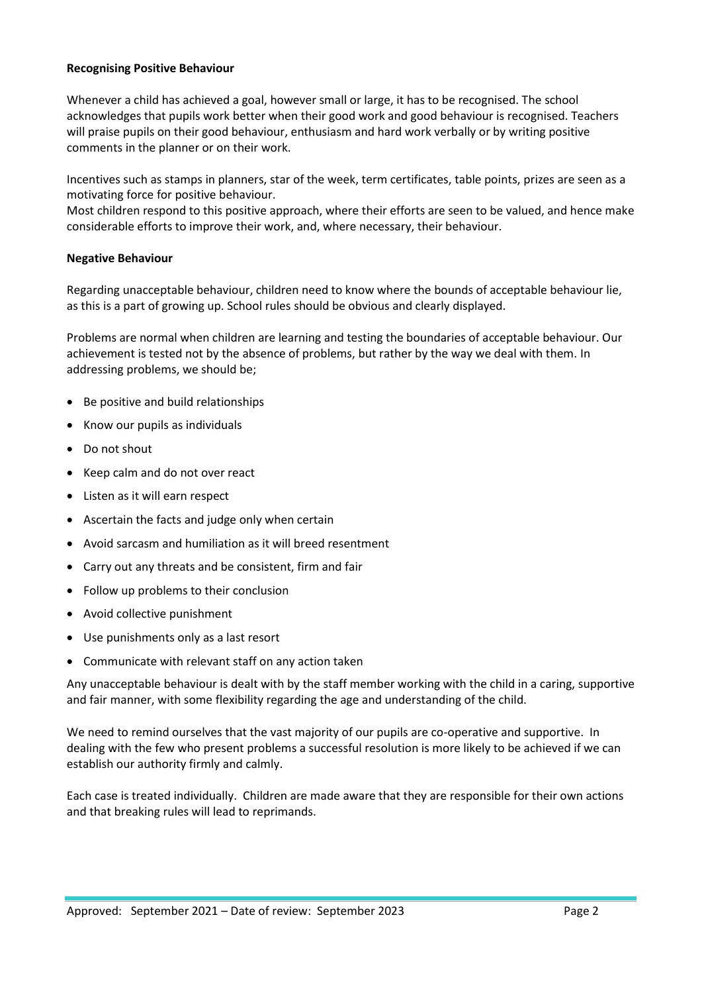## **Recognising Positive Behaviour**

Whenever a child has achieved a goal, however small or large, it has to be recognised. The school acknowledges that pupils work better when their good work and good behaviour is recognised. Teachers will praise pupils on their good behaviour, enthusiasm and hard work verbally or by writing positive comments in the planner or on their work.

Incentives such as stamps in planners, star of the week, term certificates, table points, prizes are seen as a motivating force for positive behaviour.

Most children respond to this positive approach, where their efforts are seen to be valued, and hence make considerable efforts to improve their work, and, where necessary, their behaviour.

## **Negative Behaviour**

Regarding unacceptable behaviour, children need to know where the bounds of acceptable behaviour lie, as this is a part of growing up. School rules should be obvious and clearly displayed.

Problems are normal when children are learning and testing the boundaries of acceptable behaviour. Our achievement is tested not by the absence of problems, but rather by the way we deal with them. In addressing problems, we should be;

- Be positive and build relationships
- Know our pupils as individuals
- Do not shout
- Keep calm and do not over react
- Listen as it will earn respect
- Ascertain the facts and judge only when certain
- Avoid sarcasm and humiliation as it will breed resentment
- Carry out any threats and be consistent, firm and fair
- Follow up problems to their conclusion
- Avoid collective punishment
- Use punishments only as a last resort
- Communicate with relevant staff on any action taken

Any unacceptable behaviour is dealt with by the staff member working with the child in a caring, supportive and fair manner, with some flexibility regarding the age and understanding of the child.

We need to remind ourselves that the vast majority of our pupils are co-operative and supportive. In dealing with the few who present problems a successful resolution is more likely to be achieved if we can establish our authority firmly and calmly.

Each case is treated individually. Children are made aware that they are responsible for their own actions and that breaking rules will lead to reprimands.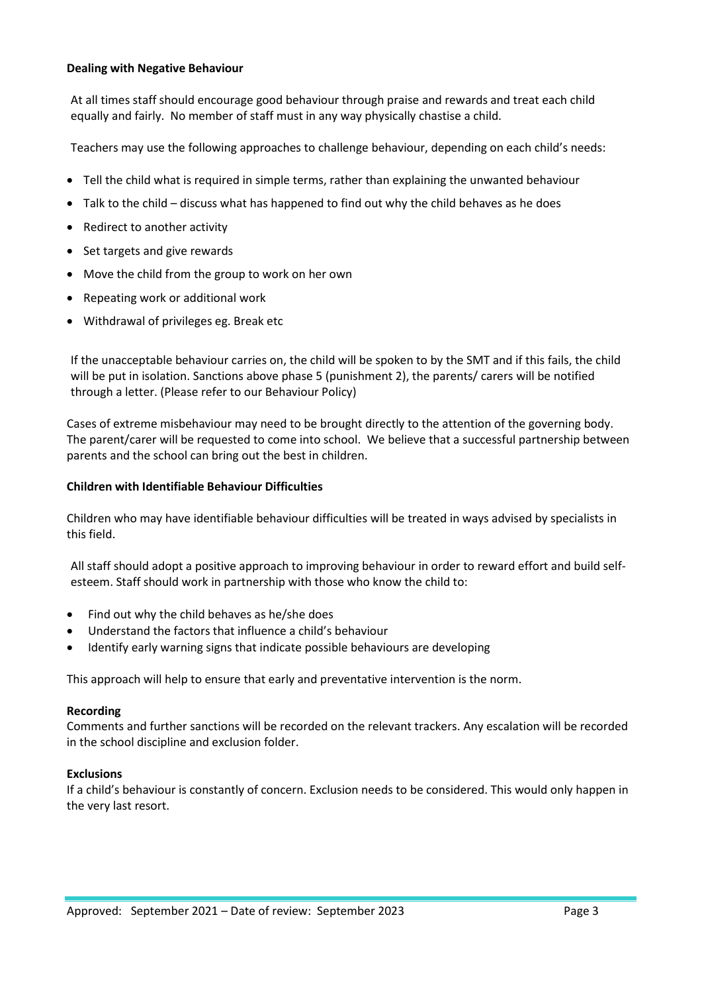## **Dealing with Negative Behaviour**

At all times staff should encourage good behaviour through praise and rewards and treat each child equally and fairly. No member of staff must in any way physically chastise a child.

Teachers may use the following approaches to challenge behaviour, depending on each child's needs:

- Tell the child what is required in simple terms, rather than explaining the unwanted behaviour
- Talk to the child discuss what has happened to find out why the child behaves as he does
- Redirect to another activity
- Set targets and give rewards
- Move the child from the group to work on her own
- Repeating work or additional work
- Withdrawal of privileges eg. Break etc

If the unacceptable behaviour carries on, the child will be spoken to by the SMT and if this fails, the child will be put in isolation. Sanctions above phase 5 (punishment 2), the parents/ carers will be notified through a letter. (Please refer to our Behaviour Policy)

Cases of extreme misbehaviour may need to be brought directly to the attention of the governing body. The parent/carer will be requested to come into school. We believe that a successful partnership between parents and the school can bring out the best in children.

## **Children with Identifiable Behaviour Difficulties**

Children who may have identifiable behaviour difficulties will be treated in ways advised by specialists in this field.

All staff should adopt a positive approach to improving behaviour in order to reward effort and build selfesteem. Staff should work in partnership with those who know the child to:

- Find out why the child behaves as he/she does
- Understand the factors that influence a child's behaviour
- Identify early warning signs that indicate possible behaviours are developing

This approach will help to ensure that early and preventative intervention is the norm.

#### **Recording**

Comments and further sanctions will be recorded on the relevant trackers. Any escalation will be recorded in the school discipline and exclusion folder.

## **Exclusions**

If a child's behaviour is constantly of concern. Exclusion needs to be considered. This would only happen in the very last resort.